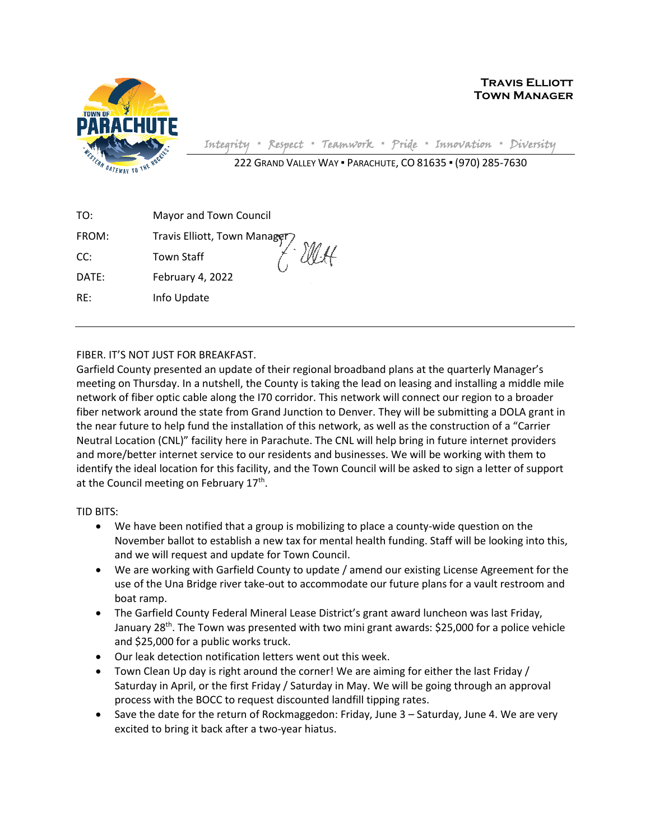

**Travis Elliott Town Manager**

Integrity **▪** Respect **▪** Teamwork **▪** Pride **▪** Innovation **▪** Diversity

222 GRAND VALLEY WAY ▪ PARACHUTE, CO 81635 ▪ (970) 285-7630

| TO:   | Mayor and Town Council       |
|-------|------------------------------|
| FROM: |                              |
| CC:   | Travis Elliott, Town Manager |
| DATE: | February 4, 2022             |
| RE:   | Info Update                  |
|       |                              |

FIBER. IT'S NOT JUST FOR BREAKFAST.

Garfield County presented an update of their regional broadband plans at the quarterly Manager's meeting on Thursday. In a nutshell, the County is taking the lead on leasing and installing a middle mile network of fiber optic cable along the I70 corridor. This network will connect our region to a broader fiber network around the state from Grand Junction to Denver. They will be submitting a DOLA grant in the near future to help fund the installation of this network, as well as the construction of a "Carrier Neutral Location (CNL)" facility here in Parachute. The CNL will help bring in future internet providers and more/better internet service to our residents and businesses. We will be working with them to identify the ideal location for this facility, and the Town Council will be asked to sign a letter of support at the Council meeting on February 17<sup>th</sup>.

TID BITS:

- We have been notified that a group is mobilizing to place a county-wide question on the November ballot to establish a new tax for mental health funding. Staff will be looking into this, and we will request and update for Town Council.
- We are working with Garfield County to update / amend our existing License Agreement for the use of the Una Bridge river take-out to accommodate our future plans for a vault restroom and boat ramp.
- The Garfield County Federal Mineral Lease District's grant award luncheon was last Friday, January 28<sup>th</sup>. The Town was presented with two mini grant awards: \$25,000 for a police vehicle and \$25,000 for a public works truck.
- Our leak detection notification letters went out this week.
- Town Clean Up day is right around the corner! We are aiming for either the last Friday / Saturday in April, or the first Friday / Saturday in May. We will be going through an approval process with the BOCC to request discounted landfill tipping rates.
- Save the date for the return of Rockmaggedon: Friday, June 3 Saturday, June 4. We are very excited to bring it back after a two-year hiatus.